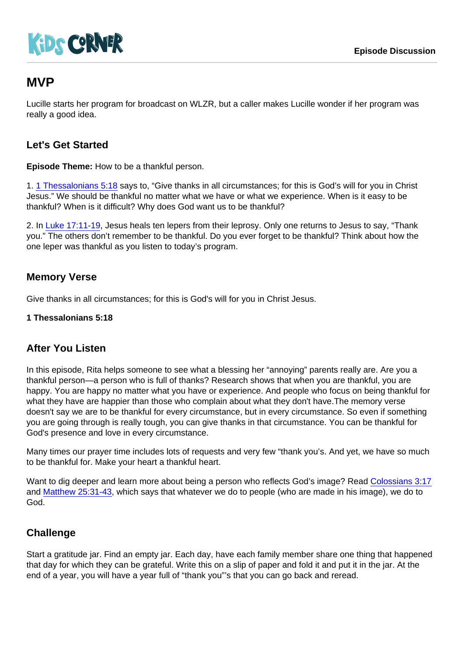# MVP

Lucille starts her program for broadcast on WLZR, but a caller makes Lucille wonder if her program was really a good idea.

## Let's Get Started

Episode Theme: How to be a thankful person.

1. [1 Thessalonians 5:18](https://www.biblegateway.com/passage/?search=1+Thessalonians+5:18) says to, "Give thanks in all circumstances; for this is God's will for you in Christ Jesus." We should be thankful no matter what we have or what we experience. When is it easy to be thankful? When is it difficult? Why does God want us to be thankful?

2. In [Luke 17:11-19,](https://www.biblegateway.com/passage/?search=Luke+17:11-19) Jesus heals ten lepers from their leprosy. Only one returns to Jesus to say, "Thank you." The others don't remember to be thankful. Do you ever forget to be thankful? Think about how the one leper was thankful as you listen to today's program.

### Memory Verse

Give thanks in all circumstances; for this is God's will for you in Christ Jesus.

1 Thessalonians 5:18

#### After You Listen

In this episode, Rita helps someone to see what a blessing her "annoying" parents really are. Are you a thankful person—a person who is full of thanks? Research shows that when you are thankful, you are happy. You are happy no matter what you have or experience. And people who focus on being thankful for what they have are happier than those who complain about what they don't have.The memory verse doesn't say we are to be thankful for every circumstance, but in every circumstance. So even if something you are going through is really tough, you can give thanks in that circumstance. You can be thankful for God's presence and love in every circumstance.

Many times our prayer time includes lots of requests and very few "thank you's. And yet, we have so much to be thankful for. Make your heart a thankful heart.

Want to dig deeper and learn more about being a person who reflects God's image? Read [Colossians 3:17](https://www.biblegateway.com/passage/?search=Colossians+3:17) and [Matthew 25:31-43](https://www.biblegateway.com/passage/?search=Matthew+25:31-43), which says that whatever we do to people (who are made in his image), we do to God.

#### **Challenge**

Start a gratitude jar. Find an empty jar. Each day, have each family member share one thing that happened that day for which they can be grateful. Write this on a slip of paper and fold it and put it in the jar. At the end of a year, you will have a year full of "thank you"'s that you can go back and reread.